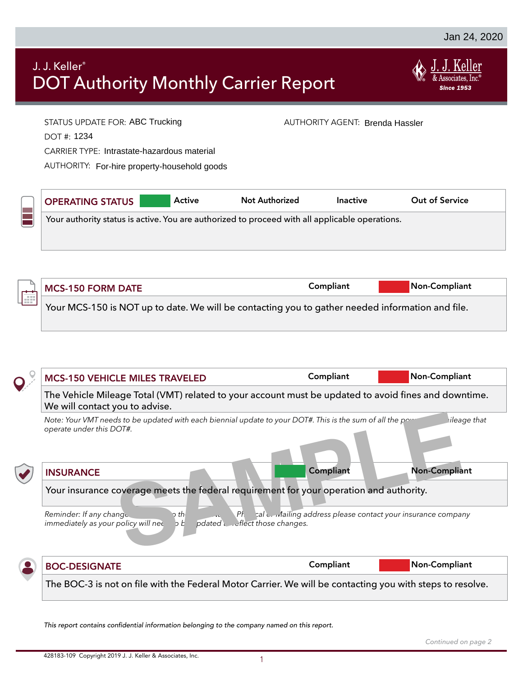# J. J. Keller® DOT Authority Monthly Carrier Report



| J. J. Keller®                                                   | <b>DOT Authority Monthly Carrier Report</b>                                                                                           |                                        |           | <b>Since 1953</b>                                            |
|-----------------------------------------------------------------|---------------------------------------------------------------------------------------------------------------------------------------|----------------------------------------|-----------|--------------------------------------------------------------|
| DOT #: 1234                                                     | STATUS UPDATE FOR: ABC Trucking<br><b>CARRIER TYPE: Intrastate-hazardous material</b><br>AUTHORITY: For-hire property-household goods |                                        |           | AUTHORITY AGENT: Brenda Hassler                              |
| <b>OPERATING STATUS</b>                                         | Active                                                                                                                                | <b>Not Authorized</b>                  | Inactive  | <b>Out of Service</b>                                        |
|                                                                 |                                                                                                                                       |                                        |           |                                                              |
| <b>MCS-150 FORM DATE</b>                                        |                                                                                                                                       |                                        | Compliant | Non-Compliant                                                |
|                                                                 | Your MCS-150 is NOT up to date. We will be contacting you to gather needed information and file.                                      |                                        |           |                                                              |
|                                                                 |                                                                                                                                       |                                        |           |                                                              |
|                                                                 | <b>MCS-150 VEHICLE MILES TRAVELED</b>                                                                                                 |                                        | Compliant | Non-Compliant                                                |
| We will contact you to advise.                                  | The Vehicle Mileage Total (VMT) related to your account must be updated to avoid fines and downtime.                                  |                                        |           |                                                              |
| operate under this DOT#.                                        | Note: Your VMT needs to be updated with each biennial update to your DOT#. This is the sum of all the pow                             |                                        |           | ileage that                                                  |
| <b>INSURANCE</b>                                                |                                                                                                                                       |                                        | Compliant | <b>Non-Compliant</b>                                         |
|                                                                 | Your insurance coverage meets the federal requirement for your operation and authority.                                               |                                        |           |                                                              |
| Reminder: If any change.<br>immediately as your policy will nee | $\mathsf{D}$ the<br>b b                                                                                                               | Pt<br>pdated interflect those changes. |           | cal c. Mailing address please contact your insurance company |

This report contains confidential information belonging to the company named on this report.